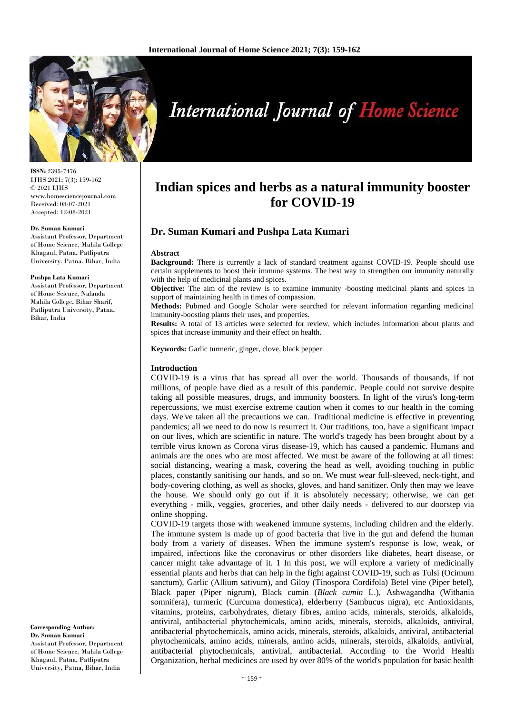

**ISSN:** 2395-7476 IJHS 2021; 7(3): 159-162 © 2021 IJHS www.homesciencejournal.com Received: 08-07-2021 Accepted: 12-08-2021

#### **Dr. Suman Kumari**

Assistant Professor, Department of Home Science, Mahila College Khagaul, Patna, Patliputra University, Patna, Bihar, India

#### **Pushpa Lata Kumari**

Assistant Professor, Department of Home Science, Nalanda Mahila College, Bihar Sharif, Patliputra University, Patna, Bihar, India

**Corresponding Author: Dr. Suman Kumari** Assistant Professor, Department of Home Science, Mahila College Khagaul, Patna, Patliputra University, Patna, Bihar, India

# **International Journal of Home Science**

# **Indian spices and herbs as a natural immunity booster for COVID-19**

# **Dr. Suman Kumari and Pushpa Lata Kumari**

#### **Abstract**

**Background:** There is currently a lack of standard treatment against COVID-19. People should use certain supplements to boost their immune systems. The best way to strengthen our immunity naturally with the help of medicinal plants and spices.

**Objective:** The aim of the review is to examine immunity -boosting medicinal plants and spices in support of maintaining health in times of compassion.

**Methods:** Pubmed and Google Scholar were searched for relevant information regarding medicinal immunity-boosting plants their uses, and properties.

**Results:** A total of 13 articles were selected for review, which includes information about plants and spices that increase immunity and their effect on health.

**Keywords:** Garlic turmeric, ginger, clove, black pepper

#### **Introduction**

COVID-19 is a virus that has spread all over the world. Thousands of thousands, if not millions, of people have died as a result of this pandemic. People could not survive despite taking all possible measures, drugs, and immunity boosters. In light of the virus's long-term repercussions, we must exercise extreme caution when it comes to our health in the coming days. We've taken all the precautions we can. Traditional medicine is effective in preventing pandemics; all we need to do now is resurrect it. Our traditions, too, have a significant impact on our lives, which are scientific in nature. The world's tragedy has been brought about by a terrible virus known as Corona virus disease-19, which has caused a pandemic. Humans and animals are the ones who are most affected. We must be aware of the following at all times: social distancing, wearing a mask, covering the head as well, avoiding touching in public places, constantly sanitising our hands, and so on. We must wear full-sleeved, neck-tight, and body-covering clothing, as well as shocks, gloves, and hand sanitizer. Only then may we leave the house. We should only go out if it is absolutely necessary; otherwise, we can get everything - milk, veggies, groceries, and other daily needs - delivered to our doorstep via online shopping.

COVID-19 targets those with weakened immune systems, including children and the elderly. The immune system is made up of good bacteria that live in the gut and defend the human body from a variety of diseases. When the immune system's response is low, weak, or impaired, infections like the coronavirus or other disorders like diabetes, heart disease, or cancer might take advantage of it. 1 In this post, we will explore a variety of medicinally essential plants and herbs that can help in the fight against COVID-19, such as Tulsi (Ocimum sanctum), Garlic (Allium sativum), and Giloy (Tinospora Cordifola) Betel vine (Piper betel), Black paper (Piper nigrum), Black cumin (*Black cumin* L.), Ashwagandha (Withania somnifera), turmeric (Curcuma domestica), elderberry (Sambucus nigra), etc Antioxidants, vitamins, proteins, carbohydrates, dietary fibres, amino acids, minerals, steroids, alkaloids, antiviral, antibacterial phytochemicals, amino acids, minerals, steroids, alkaloids, antiviral, antibacterial phytochemicals, amino acids, minerals, steroids, alkaloids, antiviral, antibacterial phytochemicals, amino acids, minerals, amino acids, minerals, steroids, alkaloids, antiviral, antibacterial phytochemicals, antiviral, antibacterial. According to the World Health Organization, herbal medicines are used by over 80% of the world's population for basic health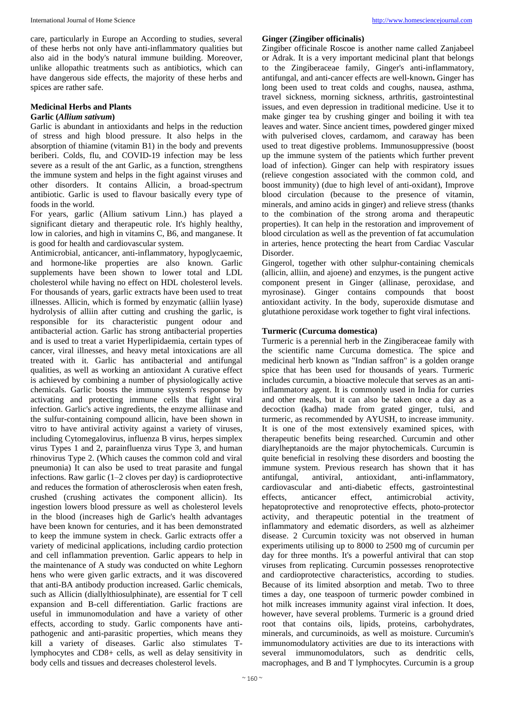care, particularly in Europe an According to studies, several of these herbs not only have anti-inflammatory qualities but also aid in the body's natural immune building. Moreover, unlike allopathic treatments such as antibiotics, which can have dangerous side effects, the majority of these herbs and spices are rather safe.

#### **Medicinal Herbs and Plants**

## **Garlic (***Allium sativum***)**

Garlic is abundant in antioxidants and helps in the reduction of stress and high blood pressure. It also helps in the absorption of thiamine (vitamin B1) in the body and prevents beriberi. Colds, flu, and COVID-19 infection may be less severe as a result of the ant Garlic, as a function, strengthens the immune system and helps in the fight against viruses and other disorders. It contains Allicin, a broad-spectrum antibiotic. Garlic is used to flavour basically every type of foods in the world.

For years, garlic (Allium sativum Linn.) has played a significant dietary and therapeutic role. It's highly healthy, low in calories, and high in vitamins C, B6, and manganese. It is good for health and cardiovascular system.

Antimicrobial, anticancer, anti-inflammatory, hypoglycaemic, and hormone-like properties are also known. Garlic supplements have been shown to lower total and LDL cholesterol while having no effect on HDL cholesterol levels. For thousands of years, garlic extracts have been used to treat illnesses. Allicin, which is formed by enzymatic (alliin lyase) hydrolysis of alliin after cutting and crushing the garlic, is responsible for its characteristic pungent odour and antibacterial action. Garlic has strong antibacterial properties and is used to treat a variet Hyperlipidaemia, certain types of cancer, viral illnesses, and heavy metal intoxications are all treated with it. Garlic has antibacterial and antifungal qualities, as well as working an antioxidant A curative effect is achieved by combining a number of physiologically active chemicals. Garlic boosts the immune system's response by activating and protecting immune cells that fight viral infection. Garlic's active ingredients, the enzyme alliinase and the sulfur-containing compound allicin, have been shown in vitro to have antiviral activity against a variety of viruses, including Cytomegalovirus, influenza B virus, herpes simplex virus Types 1 and 2, parainfluenza virus Type 3, and human rhinovirus Type 2. (Which causes the common cold and viral pneumonia) It can also be used to treat parasite and fungal infections. Raw garlic (1–2 cloves per day) is cardioprotective and reduces the formation of atherosclerosis when eaten fresh, crushed (crushing activates the component allicin). Its ingestion lowers blood pressure as well as cholesterol levels in the blood (increases high de Garlic's health advantages have been known for centuries, and it has been demonstrated to keep the immune system in check. Garlic extracts offer a variety of medicinal applications, including cardio protection and cell inflammation prevention. Garlic appears to help in the maintenance of A study was conducted on white Leghorn hens who were given garlic extracts, and it was discovered that anti-BA antibody production increased. Garlic chemicals, such as Allicin (diallylthiosulphinate), are essential for T cell expansion and B-cell differentiation. Garlic fractions are useful in immunomodulation and have a variety of other effects, according to study. Garlic components have antipathogenic and anti-parasitic properties, which means they kill a variety of diseases. Garlic also stimulates Tlymphocytes and CD8+ cells, as well as delay sensitivity in body cells and tissues and decreases cholesterol levels.

#### **Ginger (Zingiber officinalis)**

Zingiber officinale Roscoe is another name called Zanjabeel or Adrak. It is a very important medicinal plant that belongs to the Zingiberaceae family, Ginger's anti-inflammatory, antifungal, and anti-cancer effects are well-known**.** Ginger has long been used to treat colds and coughs, nausea, asthma, travel sickness, morning sickness, arthritis, gastrointestinal issues, and even depression in traditional medicine. Use it to make ginger tea by crushing ginger and boiling it with tea leaves and water. Since ancient times, powdered ginger mixed with pulverised cloves, cardamom, and caraway has been used to treat digestive problems. Immunosuppressive (boost up the immune system of the patients which further prevent load of infection). Ginger can help with respiratory issues (relieve congestion associated with the common cold, and boost immunity) (due to high level of anti-oxidant), Improve blood circulation (because to the presence of vitamin, minerals, and amino acids in ginger) and relieve stress (thanks to the combination of the strong aroma and therapeutic properties). It can help in the restoration and improvement of blood circulation as well as the prevention of fat accumulation in arteries, hence protecting the heart from Cardiac Vascular Disorder.

Gingerol, together with other sulphur-containing chemicals (allicin, alliin, and ajoene) and enzymes, is the pungent active component present in Ginger (allinase, peroxidase, and myrosinase). Ginger contains compounds that boost antioxidant activity. In the body, superoxide dismutase and glutathione peroxidase work together to fight viral infections.

#### **Turmeric (Curcuma domestica)**

Turmeric is a perennial herb in the Zingiberaceae family with the scientific name Curcuma domestica. The spice and medicinal herb known as "Indian saffron" is a golden orange spice that has been used for thousands of years. Turmeric includes curcumin, a bioactive molecule that serves as an antiinflammatory agent. It is commonly used in India for curries and other meals, but it can also be taken once a day as a decoction (kadha) made from grated ginger, tulsi, and turmeric, as recommended by AYUSH, to increase immunity. It is one of the most extensively examined spices, with therapeutic benefits being researched. Curcumin and other diarylheptanoids are the major phytochemicals. Curcumin is quite beneficial in resolving these disorders and boosting the immune system. Previous research has shown that it has antifungal, antiviral, antioxidant, anti-inflammatory, cardiovascular and anti-diabetic effects, gastrointestinal effects, anticancer effect, antimicrobial activity, hepatoprotective and renoprotective effects, photo-protector activity, and therapeutic potential in the treatment of inflammatory and edematic disorders, as well as alzheimer disease. 2 Curcumin toxicity was not observed in human experiments utilising up to 8000 to 2500 mg of curcumin per day for three months. It's a powerful antiviral that can stop viruses from replicating. Curcumin possesses renoprotective and cardioprotective characteristics, according to studies. Because of its limited absorption and metab. Two to three times a day, one teaspoon of turmeric powder combined in hot milk increases immunity against viral infection. It does, however, have several problems. Turmeric is a ground dried root that contains oils, lipids, proteins, carbohydrates, minerals, and curcuminoids, as well as moisture. Curcumin's immunomodulatory activities are due to its interactions with several immunomodulators, such as dendritic cells, macrophages, and B and T lymphocytes. Curcumin is a group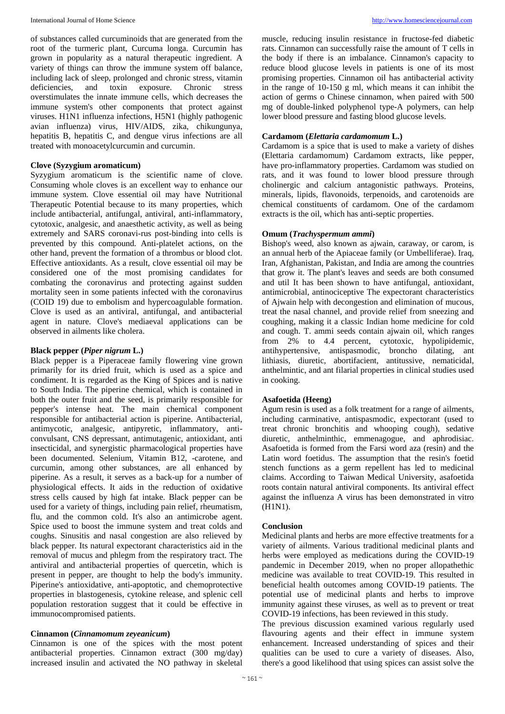of substances called curcuminoids that are generated from the root of the turmeric plant, Curcuma longa. Curcumin has grown in popularity as a natural therapeutic ingredient. A variety of things can throw the immune system off balance, including lack of sleep, prolonged and chronic stress, vitamin deficiencies, and toxin exposure. Chronic stress overstimulates the innate immune cells, which decreases the immune system's other components that protect against viruses. H1N1 influenza infections, H5N1 (highly pathogenic avian influenza) virus, HIV/AIDS, zika, chikungunya, hepatitis B, hepatitis C, and dengue virus infections are all treated with monoacetylcurcumin and curcumin.

## **Clove (Syzygium aromaticum)**

Syzygium aromaticum is the scientific name of clove. Consuming whole cloves is an excellent way to enhance our immune system. Clove essential oil may have Nutritional Therapeutic Potential because to its many properties, which include antibacterial, antifungal, antiviral, anti-inflammatory, cytotoxic, analgesic, and anaesthetic activity, as well as being extremely and SARS coronavi-rus post-binding into cells is prevented by this compound. Anti-platelet actions, on the other hand, prevent the formation of a thrombus or blood clot. Effective antioxidants. As a result, clove essential oil may be considered one of the most promising candidates for combating the coronavirus and protecting against sudden mortality seen in some patients infected with the coronavirus (COID 19) due to embolism and hypercoagulable formation. Clove is used as an antiviral, antifungal, and antibacterial agent in nature. Clove's mediaeval applications can be observed in ailments like cholera.

#### **Black pepper (***Piper nigrum* **L.)**

Black pepper is a Piperaceae family flowering vine grown primarily for its dried fruit, which is used as a spice and condiment. It is regarded as the King of Spices and is native to South India. The piperine chemical, which is contained in both the outer fruit and the seed, is primarily responsible for pepper's intense heat. The main chemical component responsible for antibacterial action is piperine. Antibacterial, antimycotic, analgesic, antipyretic, inflammatory, anticonvulsant, CNS depressant, antimutagenic, antioxidant, anti insecticidal, and synergistic pharmacological properties have been documented. Selenium, Vitamin B12, -carotene, and curcumin, among other substances, are all enhanced by piperine. As a result, it serves as a back-up for a number of physiological effects. It aids in the reduction of oxidative stress cells caused by high fat intake. Black pepper can be used for a variety of things, including pain relief, rheumatism, flu, and the common cold. It's also an antimicrobe agent. Spice used to boost the immune system and treat colds and coughs. Sinusitis and nasal congestion are also relieved by black pepper. Its natural expectorant characteristics aid in the removal of mucus and phlegm from the respiratory tract. The antiviral and antibacterial properties of quercetin, which is present in pepper, are thought to help the body's immunity. Piperine's antioxidative, anti-apoptotic, and chemoprotective properties in blastogenesis, cytokine release, and splenic cell population restoration suggest that it could be effective in immunocompromised patients.

#### **Cinnamon (***Cinnamomum zeyeanicum***)**

Cinnamon is one of the spices with the most potent antibacterial properties. Cinnamon extract (300 mg/day) increased insulin and activated the NO pathway in skeletal

muscle, reducing insulin resistance in fructose-fed diabetic rats. Cinnamon can successfully raise the amount of T cells in the body if there is an imbalance. Cinnamon's capacity to reduce blood glucose levels in patients is one of its most promising properties. Cinnamon oil has antibacterial activity in the range of 10-150 g ml, which means it can inhibit the action of germs o Chinese cinnamon, when paired with 500 mg of double-linked polyphenol type-A polymers, can help lower blood pressure and fasting blood glucose levels.

#### **Cardamom (***Elettaria cardamomum* **L.)**

Cardamom is a spice that is used to make a variety of dishes (Elettaria cardamomum) Cardamom extracts, like pepper, have pro-inflammatory properties. Cardamom was studied on rats, and it was found to lower blood pressure through cholinergic and calcium antagonistic pathways. Proteins, minerals, lipids, flavonoids, terpenoids, and carotenoids are chemical constituents of cardamom. One of the cardamom extracts is the oil, which has anti-septic properties.

#### **Omum (***Trachyspermum ammi***)**

Bishop's weed, also known as ajwain, caraway, or carom, is an annual herb of the Apiaceae family (or Umbelliferae). Iraq, Iran, Afghanistan, Pakistan, and India are among the countries that grow it. The plant's leaves and seeds are both consumed and util It has been shown to have antifungal, antioxidant, antimicrobial, antinociceptive The expectorant characteristics of Ajwain help with decongestion and elimination of mucous, treat the nasal channel, and provide relief from sneezing and coughing, making it a classic Indian home medicine for cold and cough. T. ammi seeds contain ajwain oil, which ranges from 2% to 4.4 percent, cytotoxic, hypolipidemic, antihypertensive, antispasmodic, broncho dilating, ant lithiasis, diuretic, abortifacient, antitussive, nematicidal, anthelmintic, and ant filarial properties in clinical studies used in cooking.

## **Asafoetida (Heeng)**

Agum resin is used as a folk treatment for a range of ailments, including carminative, antispasmodic, expectorant (used to treat chronic bronchitis and whooping cough), sedative diuretic, anthelminthic, emmenagogue, and aphrodisiac. Asafoetida is formed from the Farsi word aza (resin) and the Latin word foetidus. The assumption that the resin's foetid stench functions as a germ repellent has led to medicinal claims. According to Taiwan Medical University, asafoetida roots contain natural antiviral components. Its antiviral effect against the influenza A virus has been demonstrated in vitro (H1N1).

#### **Conclusion**

Medicinal plants and herbs are more effective treatments for a variety of ailments. Various traditional medicinal plants and herbs were employed as medications during the COVID-19 pandemic in December 2019, when no proper allopathethic medicine was available to treat COVID-19. This resulted in beneficial health outcomes among COVID-19 patients. The potential use of medicinal plants and herbs to improve immunity against these viruses, as well as to prevent or treat COVID-19 infections, has been reviewed in this study.

The previous discussion examined various regularly used flavouring agents and their effect in immune system enhancement. Increased understanding of spices and their qualities can be used to cure a variety of diseases. Also, there's a good likelihood that using spices can assist solve the